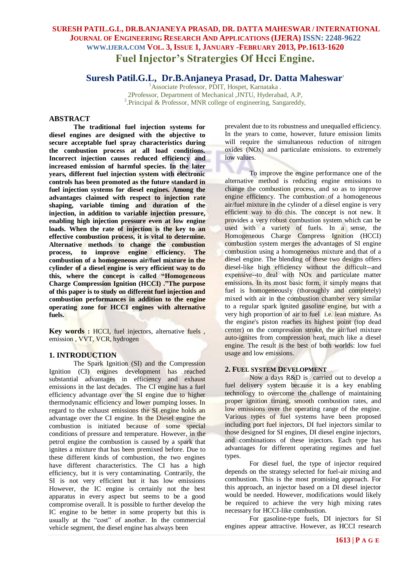# **SURESH PATIL.G.L, DR.B.ANJANEYA PRASAD, DR. DATTA MAHESWAR / INTERNATIONAL JOURNAL OF ENGINEERING RESEARCH AND APPLICATIONS (IJERA) ISSN: 2248-9622 WWW.IJERA.COM VOL. 3, ISSUE 1, JANUARY -FEBRUARY 2013, PP.1613-1620 Fuel Injector's Stratergies Of Hcci Engine.**

# **Suresh Patil.G.L, Dr.B.Anjaneya Prasad, Dr. Datta Maheswar.**

<sup>1</sup> Associate Professor, PDIT, Hospet, Karnataka . 2Professor, Department of Mechanical ,JNTU, Hyderabad, A.P, <sup>3</sup>. Principal & Professor, MNR college of engineering, Sangareddy,

### **ABSTRACT**

**The traditional fuel injection systems for diesel engines are designed with the objective to secure acceptable fuel spray characteristics during the combustion process at all load conditions. Incorrect injection causes reduced efficiency and increased emission of harmful species. In the later years, different fuel injection system with electronic controls has been promoted as the future standard in fuel injection systems for diesel engines. Among the advantages claimed with respect to injection rate shaping, variable timing and duration of the injection, in addition to variable injection pressure, enabling high injection pressure even at low engine loads. When the rate of injection is the key to an effective combustion process, it is vital to determine. Alternative methods to change the combustion process, to improve engine efficiency. The combustion of a homogeneous air/fuel mixture in the cylinder of a diesel engine is very efficient way to do this, where the concept is called "Homogeneous Charge Compression Ignition (HCCI) ."The purpose of this paper is to study on different fuel injection and combustion performances in addition to the engine operating zone for HCCI engines with alternative fuels.** 

**Key words :** HCCI, fuel injectors, alternative fuels , emission , VVT, VCR, hydrogen

#### **1. INTRODUCTION**

The Spark Ignition (SI) and the Compression Ignition (CI) engines development has reached substantial advantages in efficiency and exhaust emissions in the last decades. The CI engine has a fuel efficiency advantage over the SI engine due to higher thermodynamic efficiency and lower pumping losses. In regard to the exhaust emissions the SI engine holds an advantage over the CI engine. In the Diesel engine the combustion is initiated because of some special conditions of pressure and temperature. However, in the petrol engine the combustion is caused by a spark that ignites a mixture that has been premixed before. Due to these different kinds of combustion, the two engines have different characteristics. The CI has a high efficiency, but it is very contaminating. Contrarily, the SI is not very efficient but it has low emissions However, the IC engine is certainly not the best apparatus in every aspect but seems to be a good compromise overall. It is possible to further develop the IC engine to be better in some property but this is usually at the "cost" of another. In the commercial vehicle segment, the diesel engine has always been

prevalent due to its robustness and unequalled efficiency. In the years to come, however, future emission limits will require the simultaneous reduction of nitrogen oxides (NOx) and particulate emissions. to extremely low values.

To improve the engine performance one of the alternative method is reducing engine emissions to change the combustion process, and so as to improve engine efficiency. The combustion of a homogeneous air/fuel mixture in the cylinder of a diesel engine is very efficient way to do this. The concept is not new. It provides a very robust combustion system which can be used with a variety of fuels. In a sense, the Homogeneous Charge Compress Ignition (HCCI) combustion system merges the advantages of SI engine combustion using a homogeneous mixture and that of a diesel engine. The blending of these two designs offers diesel-like high efficiency without the difficult--and expensive--to deal with NOx and particulate matter emissions. In its most basic form, it simply means that fuel is homogeneously (thoroughly and completely) mixed with air in the combustion chamber very similar to a regular spark ignited gasoline engine, but with a very high proportion of air to fuel i.e. lean mixture. As the engine's piston reaches its highest point (top dead center) on the compression stroke, the air/fuel mixture auto-ignites from compression heat, much like a diesel engine. The result is the best of both worlds: low fuel usage and low emissions.

### **2. FUEL SYSTEM DEVELOPMENT**

Now a days R&D is carried out to develop a fuel delivery system because it is a key enabling technology to overcome the challenge of maintaining proper ignition timing, smooth combustion rates, and low emissions over the operating range of the engine. Various types of fuel systems have been proposed including port fuel injectors, DI fuel injectors similar to those designed for SI engines, DI diesel engine injectors, and combinations of these injectors. Each type has advantages for different operating regimes and fuel types.

For diesel fuel, the type of injector required depends on the strategy selected for fuel-air mixing and combustion. This is the most promising approach. For this approach, an injector based on a DI diesel injector would be needed. However, modifications would likely be required to achieve the very high mixing rates necessary for HCCI-like combustion.

For gasoline-type fuels, DI injectors for SI engines appear attractive. However, as HCCI research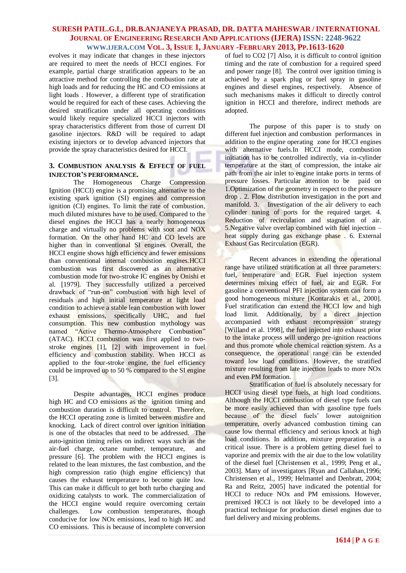evolves it may indicate that changes in these injectors are required to meet the needs of HCCI engines. For example, partial charge stratification appears to be an attractive method for controlling the combustion rate at high loads and for reducing the HC and CO emissions at light loads . However, a different type of stratification would be required for each of these cases. Achieving the desired stratification under all operating conditions would likely require specialized HCCI injectors with spray characteristics different from those of current DI gasoline injectors. R&D will be required to adapt existing injectors or to develop advanced injectors that provide the spray characteristics desired for HCCI.

### **3. COMBUSTION ANALYSIS & EFFECT OF FUEL INJECTOR'S PERFORMANCE.**

The Homogeneous Charge Compression Ignition (HCCI) engine is a promising alternative to the existing spark ignition (SI) engines and compression ignition (CI) engines. To limit the rate of combustion, much diluted mixtures have to be used. Compared to the diesel engines the HCCI has a nearly homogeneous charge and virtually no problems with soot and NOX formation. On the other hand HC and CO levels are higher than in conventional SI engines. Overall, the HCCI engine shows high efficiency and fewer emissions than conventional internal combustion engines.HCCI combustion was first discovered as an alternative combustion mode for two-stroke IC engines by Onishi et al. [1979]. They successfully utilized a perceived drawback of "run-on" combustion with high level of residuals and high initial temperature at light load condition to achieve a stable lean combustion with lower exhaust emissions, specifically UHC, and fuel consumption. This new combustion mythology was named "Active Thermo-Atmosphere Combustion" (ATAC). HCCI combustion was first applied to twostroke engines [1], [2] with improvement in fuel efficiency and combustion stability. When HCCI as applied to the four-stroke engine, the fuel efficiency could be improved up to 50 % compared to the SI engine [3].

Despite advantages, HCCI engines produce high HC and CO emissions as the ignition timing and combustion duration is difficult to control. Therefore, the HCCI operating zone is limited between misfire and knocking. Lack of direct control over ignition initiation is one of the obstacles that need to be addressed. The auto-ignition timing relies on indirect ways such as the air-fuel charge, octane number, temperature, and pressure [6]. The problem with the HCCI engines is related to the lean mixtures, the fast combustion, and the high compression ratio (high engine efficiency) that causes the exhaust temperature to become quite low. This can make it difficult to get both turbo charging and oxidizing catalysts to work. The commercialization of the HCCI engine would require overcoming certain challenges. Low combustion temperatures, though conducive for low NOx emissions, lead to high HC and CO emissions. This is because of incomplete conversion of fuel to CO2 [7] Also, it is difficult to control ignition timing and the rate of combustion for a required speed and power range [8]. The control over ignition timing is achieved by a spark plug or fuel spray in gasoline engines and diesel engines, respectively. Absence of such mechanisms makes it difficult to directly control ignition in HCCI and therefore, indirect methods are adopted.

The purpose of this paper is to study on different fuel injection and combustion performances in addition to the engine operating zone for HCCI engines with alternative fuels.In HCCI mode, combustion initiation has to be controlled indirectly, via in-cylinder temperature at the start of compression, the intake air path from the air inlet to engine intake ports in terms of pressure losses. Particular attention to be paid on 1.Optimization of the geometry in respect to the pressure drop . 2. Flow distribution investigation in the port and manifold. 3. Investigation of the air delivery to each cylinder tuning of ports for the required target. 4. Reduction of recirculation and stagnation of air. 5.Negative valve overlap combined with fuel injection – heat supply during gas exchange phase . 6. External Exhaust Gas Recirculation (EGR).

Recent advances in extending the operational range have utilized stratification at all three parameters: fuel, temperature and EGR. Fuel injection system determines mixing effect of fuel, air and EGR. For gasoline a conventional PFI injection system can form a good homogeneous mixture [Kontarakis et al., 2000]. Fuel stratification can extend the HCCI low and high load limit. Additionally, by a direct injection accompanied with exhaust recompression strategy [Willand et al. 1998], the fuel injected into exhaust prior to the intake process will undergo pre-ignition reactions and thus promote whole chemical reaction system. As a consequence, the operational range can be extended toward low load conditions. However, the stratified mixture resulting from late injection leads to more NOx and even PM formation.

Stratification of fuel is absolutely necessary for HCCI using diesel type fuels, at high load conditions. Although the HCCI combustion of diesel type fuels can be more easily achieved than with gasoline type fuels because of the diesel fuels' lower autoignition temperature, overly advanced combustion timing can cause low thermal efficiency and serious knock at high load conditions. In addition, mixture preparation is a critical issue. There is a problem getting diesel fuel to vaporize and premix with the air due to the low volatility of the diesel fuel [Christensen et al., 1999; Peng et al., 2003]. Many of investigators [Ryan and Callahan,1996; Christensen et al., 1999; Helmantel and Denbratt, 2004; Ra and Reitz, 2005] have indicated the potential for HCCI to reduce NOx and PM emissions. However, premixed HCCI is not likely to be developed into a practical technique for production diesel engines due to fuel delivery and mixing problems.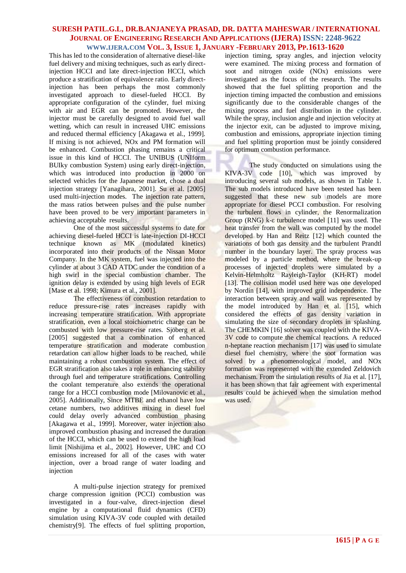This has led to the consideration of alternative diesel-like fuel delivery and mixing techniques, such as early directinjection HCCI and late direct-injection HCCI, which produce a stratification of equivalence ratio. Early directinjection has been perhaps the most commonly investigated approach to diesel-fueled HCCI. By appropriate configuration of the cylinder, fuel mixing with air and EGR can be promoted. However, the injector must be carefully designed to avoid fuel wall wetting, which can result in increased UHC emissions and reduced thermal efficiency [Akagawa et al., 1999]. If mixing is not achieved, NOx and PM formation will be enhanced. Combustion phasing remains a critical issue in this kind of HCCI. The UNIBUS (UNIform BUIky combustion System) using early direct-injection, which was introduced into production in 2000 on selected vehicles for the Japanese market, chose a dual injection strategy [Yanagihara, 2001]. Su et al. [2005] used multi-injection modes. The injection rate pattern, the mass ratios between pulses and the pulse number have been proved to be very important parameters in achieving acceptable results.

One of the most successful systems to date for achieving diesel-fueled HCCI is late-injection DI-HCCI technique known as MK (modulated kinetics) incorporated into their products of the Nissan Motor Company. In the MK system, fuel was injected into the cylinder at about 3 CAD ATDC under the condition of a high swirl in the special combustion chamber. The ignition delay is extended by using high levels of EGR [Mase et al. 1998; Kimura et al., 2001].

The effectiveness of combustion retardation to reduce pressure-rise rates increases rapidly with increasing temperature stratification. With appropriate stratification, even a local stoichiometric charge can be combusted with low pressure-rise rates. Sjöberg et al. [2005] suggested that a combination of enhanced temperature stratification and moderate combustion retardation can allow higher loads to be reached, while maintaining a robust combustion system. The effect of EGR stratification also takes a role in enhancing stability through fuel and temperature stratifications. Controlling the coolant temperature also extends the operational range for a HCCI combustion mode [Milovanovic et al., 2005]. Additionally, Since MTBE and ethanol have low cetane numbers, two additives mixing in diesel fuel could delay overly advanced combustion phasing [Akagawa et al., 1999]. Moreover, water injection also improved combustion phasing and increased the duration of the HCCI, which can be used to extend the high load limit [Nishijima et al., 2002]. However, UHC and CO emissions increased for all of the cases with water injection, over a broad range of water loading and injection

A multi-pulse injection strategy for premixed charge compression ignition (PCCI) combustion was investigated in a four-valve, direct-injection diesel engine by a computational fluid dynamics (CFD) simulation using KIVA-3V code coupled with detailed chemistry[9]. The effects of fuel splitting proportion,

injection timing, spray angles, and injection velocity were examined. The mixing process and formation of soot and nitrogen oxide (NOx) emissions were investigated as the focus of the research. The results showed that the fuel splitting proportion and the injection timing impacted the combustion and emissions significantly due to the considerable changes of the mixing process and fuel distribution in the cylinder. While the spray, inclusion angle and injection velocity at the injector exit, can be adjusted to improve mixing, combustion and emissions, appropriate injection timing and fuel splitting proportion must be jointly considered for optimum combustion performance.

The study conducted on simulations using the KIVA-3V code [10], which was improved by introducing several sub models, as shown in Table 1. The sub models introduced have been tested has been suggested that these new sub models are more appropriate for diesel PCCI combustion. For resolving the turbulent flows in cylinder, the Renormalization Group (RNG) k-ε turbulence model [11] was used. The heat transfer from the wall was computed by the model developed by Han and Reitz [12] which counted the variations of both gas density and the turbulent Prandtl number in the boundary layer. The spray process was modeled by a particle method, where the break-up processes of injected droplets were simulated by a Kelvin-Helmholtz Rayleigh-Taylor (KH-RT) model [13]. The collision model used here was one developed by Nordin [14], with improved grid independence. The interaction between spray and wall was represented by the model introduced by Han et al. [15], which considered the effects of gas density variation in simulating the size of secondary droplets in splashing. The CHEMKIN [16] solver was coupled with the KIVA-3V code to compute the chemical reactions. A reduced n-heptane reaction mechanism [17] was used to simulate diesel fuel chemistry, where the soot formation was solved by a phenomenological model, and NOx formation was represented with the extended Zeldovich mechanism. From the simulation results of Jia et al. [17], it has been shown that fair agreement with experimental results could be achieved when the simulation method was used.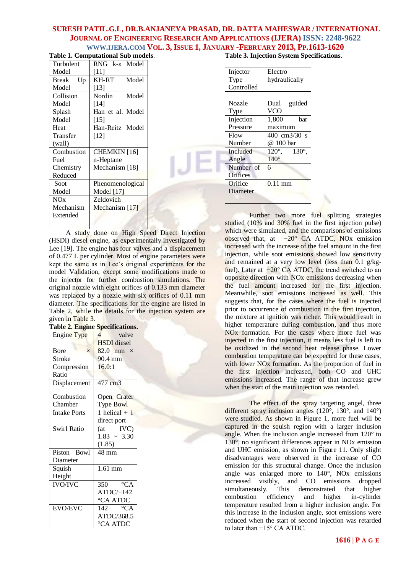| <b>Table 1. Computational Sub models.</b> |                         |  |
|-------------------------------------------|-------------------------|--|
| Turbulent                                 | RNG k-& Model           |  |
| Model                                     | [11]                    |  |
| Break<br>Up                               | KH-RT<br>Model          |  |
| Model                                     | $[13]$                  |  |
| Collision                                 | Nordin<br>Model         |  |
| Model                                     | [14]                    |  |
| Splash                                    | Han et al. Model        |  |
| Model                                     | $[15]$                  |  |
| Heat                                      | Han-Reitz Model         |  |
| Transfer                                  | $[12]$                  |  |
| (wall)                                    |                         |  |
| Combustion                                | CHEMKIN <sup>[16]</sup> |  |
| Fuel                                      | n-Heptane               |  |
| Chemistry                                 | Mechanism [18]          |  |
| Reduced                                   |                         |  |
| Soot                                      | Phenomenological        |  |
| Model                                     | <b>Model</b> [17]       |  |
| NOx                                       | Zeldovich               |  |
| Mechanism                                 | Mechanism [17]          |  |
| Extended                                  |                         |  |
|                                           |                         |  |

 A study done on High Speed Direct Injection (HSDI) diesel engine, as experimentally investigated by Lee [19]. The engine has four valves and a displacement of 0.477 L per cylinder. Most of engine parameters were kept the same as in Lee's original experiments for the model Validation, except some modifications made to the injector for further combustion simulations. The original nozzle with eight orifices of 0.133 mm diameter was replaced by a nozzle with six orifices of 0.11 mm diameter. The specifications for the engine are listed in Table 2, while the details for the injection system are given in Table 3.

| <b>Table 2. Engine Specifications.</b> |                         |
|----------------------------------------|-------------------------|
| <b>Engine Type</b>                     | valve<br>$\overline{4}$ |
|                                        | <b>HSDI</b> diesel      |
| <b>B</b> ore<br>$\times$               | 82.0 mm $\times$        |
| Stroke                                 | 90.4 mm                 |
| Compression                            | 16.0:1                  |
| Ratio                                  |                         |
| Displacement                           | $\overline{477}$ cm3    |
| Combustion                             | Open Crater             |
| Chamber                                | Type Bowl               |
| <b>Intake Ports</b>                    | 1 helical $+1$          |
|                                        | direct port             |
| <b>Swirl Ratio</b>                     | $(at \tIVC)$            |
|                                        | $1.83 - 3.30$           |
|                                        | (1.85)                  |
| Piston Bowl                            | 48 mm                   |
| Diameter                               |                         |
| Squish                                 | $\overline{1.61}$ mm    |
| Height                                 |                         |
| <b>IVO/IVC</b>                         | 350 $\degree$ CA        |
|                                        | $ATDC/-142$             |
|                                        | °CA ATDC                |
| <b>EVO/EVC</b>                         | $\overline{O}CA$<br>142 |
|                                        | ATDC/368.5              |
|                                        | °CA ATDC                |

**Table 3. Injection System Specifications**.

| Injector        | Electro                         |
|-----------------|---------------------------------|
| Type            | hydraulically                   |
| Controlled      |                                 |
|                 |                                 |
| Nozzle          | Dual guided                     |
| Type            | <b>VCO</b>                      |
| Injection       | 1,800<br>bar                    |
| Pressure        | maximum                         |
| Flow            | 400 cm3/30 s                    |
| Number          | @ 100 bar                       |
| <b>Included</b> | $120^{\circ}$ , $130^{\circ}$ . |
| Angle           | $140^\circ$                     |
| Number of       | 6                               |
| Orifices        |                                 |
| Orifice         | $0.11 \text{ mm}$               |
| Diameter        |                                 |
|                 |                                 |

Further two more fuel splitting strategies studied (10% and 30% fuel in the first injection pulse) which were simulated, and the comparisons of emissions observed that, at −20° CA ATDC, NOx emission increased with the increase of the fuel amount in the first injection, while soot emissions showed low sensitivity and remained at a very low level (less than 0.1 g/kgfuel). Later at −20° CA ATDC, the trend switched to an opposite direction with NOx emissions decreasing when the fuel amount increased for the first injection. Meanwhile, soot emissions increased as well. This suggests that, for the cases where the fuel is injected prior to occurrence of combustion in the first injection, the mixture at ignition was richer. This would result in higher temperature during combustion, and thus more NOx formation. For the cases where more fuel was injected in the first injection, it means less fuel is left to be oxidized in the second heat release phase. Lower combustion temperature can be expected for these cases, with lower NOx formation. As the proportion of fuel in the first injection increased, both CO and UHC emissions increased. The range of that increase grew when the start of the main injection was retarded.

The effect of the spray targeting angel, three different spray inclusion angles (120°, 130°, and 140°) were studied. As shown in Figure 1, more fuel will be captured in the squish region with a larger inclusion angle. When the inclusion angle increased from 120° to 130°, no significant differences appear in NOx emission and UHC emission, as shown in Figure 11. Only slight disadvantages were observed in the increase of CO emission for this structural change. Once the inclusion angle was enlarged more to 140°, NOx emissions increased visibly, and CO emissions dropped simultaneously. This demonstrated that higher combustion efficiency and higher in-cylinder temperature resulted from a higher inclusion angle. For this increase in the inclusion angle, soot emissions were reduced when the start of second injection was retarded to later than −15° CA ATDC.

**1616 | P A G E**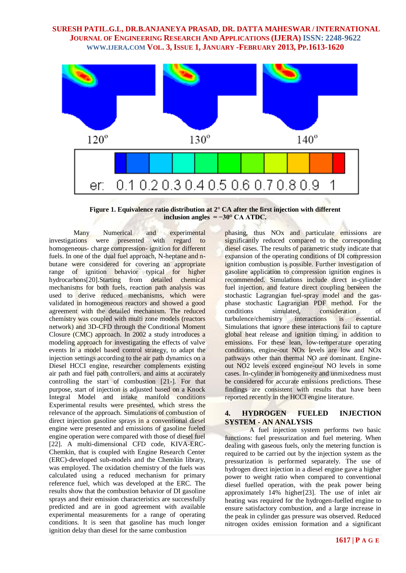

**Figure 1. Equivalence ratio distribution at 2° CA after the first injection with different inclusion angles = −30° CA ATDC.**

Many Numerical and experimental investigations were presented with regard to homogeneous- charge compression- ignition for different fuels. In one of the dual fuel approach, N-heptane and nbutane were considered for covering an appropriate range of ignition behavior typical for higher hydrocarbons[20].Starting from detailed chemical mechanisms for both fuels, reaction path analysis was used to derive reduced mechanisms, which were validated in homogeneous reactors and showed a good agreement with the detailed mechanism. The reduced chemistry was coupled with multi zone models (reactors network) and 3D-CFD through the Conditional Moment Closure (CMC) approach. In 2002 a study introduces a modeling approach for investigating the effects of valve events In a model based control strategy, to adapt the injection settings according to the air path dynamics on a Diesel HCCI engine, researcher complements existing air path and fuel path controllers, and aims at accurately controlling the start of combustion [21-]. For that purpose, start of injection is adjusted based on a Knock Integral Model and intake manifold conditions Experimental results were presented, which stress the relevance of the approach. Simulations of combustion of direct injection gasoline sprays in a conventional diesel engine were presented and emissions of gasoline fueled engine operation were compared with those of diesel fuel [22]. A multi-dimensional CFD code, KIVA-ERC-Chemkin, that is coupled with Engine Research Center (ERC)-developed sub-models and the Chemkin library, was employed. The oxidation chemistry of the fuels was calculated using a reduced mechanism for primary reference fuel, which was developed at the ERC. The results show that the combustion behavior of DI gasoline sprays and their emission characteristics are successfully predicted and are in good agreement with available experimental measurements for a range of operating conditions. It is seen that gasoline has much longer ignition delay than diesel for the same combustion

phasing, thus NOx and particulate emissions are significantly reduced compared to the corresponding diesel cases. The results of parametric study indicate that expansion of the operating conditions of DI compression ignition combustion is possible. Further investigation of gasoline application to compression ignition engines is recommended. Simulations include direct in-cylinder fuel injection, and feature direct coupling between the stochastic Lagrangian fuel-spray model and the gasphase stochastic Lagrangian PDF method. For the conditions simulated, consideration of turbulence/chemistry interactions is essential. Simulations that ignore these interactions fail to capture global heat release and ignition timing, in addition to emissions. For these lean, low-temperature operating conditions, engine-out NOx levels are low and NOx pathways other than thermal NO are dominant. Engineout NO2 levels exceed engine-out NO levels in some cases. In-cylinder in homogeneity and unmixedness must be considered for accurate emissions predictions. These findings are consistent with results that have been reported recently in the HCCI engine literature.

### **4. HYDROGEN FUELED INJECTION SYSTEM - AN ANALYSIS**

A fuel injection system performs two basic functions: fuel pressurization and fuel metering. When dealing with gaseous fuels, only the metering function is required to be carried out by the injection system as the pressurization is performed separately. The use of hydrogen direct injection in a diesel engine gave a higher power to weight ratio when compared to conventional diesel fuelled operation, with the peak power being approximately 14% higher[23]. The use of inlet air heating was required for the hydrogen-fuelled engine to ensure satisfactory combustion, and a large increase in the peak in cylinder gas pressure was observed. Reduced nitrogen oxides emission formation and a significant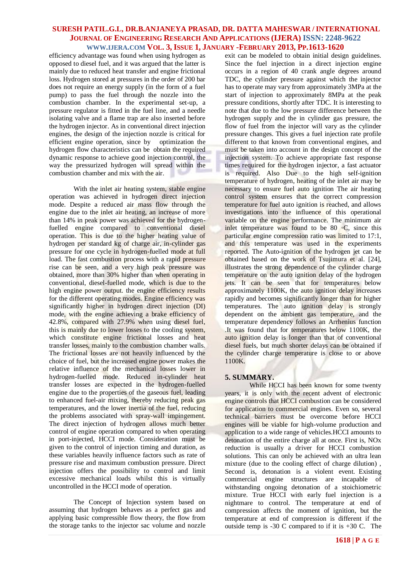efficiency advantage was found when using hydrogen as opposed to diesel fuel, and it was argued that the latter is mainly due to reduced heat transfer and engine frictional loss. Hydrogen stored at pressures in the order of 200 bar does not require an energy supply (in the form of a fuel pump) to pass the fuel through the nozzle into the combustion chamber. In the experimental set-up, a pressure regulator is fitted in the fuel line, and a needle isolating valve and a flame trap are also inserted before the hydrogen injector. As in conventional direct injection engines, the design of the injection nozzle is critical for efficient engine operation, since by optimization the hydrogen flow characteristics can be obtain the required dynamic response to achieve good injection control, the way the pressurized hydrogen will spread within the combustion chamber and mix with the air.

With the inlet air heating system, stable engine operation was achieved in hydrogen direct injection mode. Despite a reduced air mass flow through the engine due to the inlet air heating, an increase of more than 14% in peak power was achieved for the hydrogenfuelled engine compared to conventional diesel operation. This is due to the higher heating value of hydrogen per standard kg of charge air, in-cylinder gas pressure for one cycle in hydrogen-fuelled mode at full load. The fast combustion process with a rapid pressure rise can be seen, and a very high peak pressure was obtained, more than 30% higher than when operating in conventional, diesel-fuelled mode, which is due to the high engine power output. the engine efficiency results for the different operating modes. Engine efficiency was significantly higher in hydrogen direct injection (DI) mode, with the engine achieving a brake efficiency of 42.8%, compared with 27.9% when using diesel fuel, this is mainly due to lower losses to the cooling system, which constitute engine frictional losses and heat transfer losses, mainly to the combustion chamber walls. The frictional losses are not heavily influenced by the choice of fuel, but the increased engine power makes the relative influence of the mechanical losses lower in hydrogen-fuelled mode. Reduced in-cylinder heat transfer losses are expected in the hydrogen-fuelled engine due to the properties of the gaseous fuel, leading to enhanced fuel-air mixing, thereby reducing peak gas temperatures, and the lower inertia of the fuel, reducing the problems associated with spray-wall impingement. The direct injection of hydrogen allows much better control of engine operation compared to when operating in port-injected, HCCI mode. Consideration must be given to the control of injection timing and duration, as these variables heavily influence factors such as rate of pressure rise and maximum combustion pressure. Direct injection offers the possibility to control and limit excessive mechanical loads whilst this is virtually uncontrolled in the HCCI mode of operation.

The Concept of Injection system based on assuming that hydrogen behaves as a perfect gas and applying basic compressible flow theory, the flow from the storage tanks to the injector sac volume and nozzle exit can be modeled to obtain initial design guidelines. Since the fuel injection in a direct injection engine occurs in a region of 40 crank angle degrees around TDC, the cylinder pressure against which the injector has to operate may vary from approximately 3MPa at the start of injection to approximately 8MPa at the peak pressure conditions, shortly after TDC. It is interesting to note that due to the low pressure difference between the hydrogen supply and the in cylinder gas pressure, the flow of fuel from the injector will vary as the cylinder pressure changes. This gives a fuel injection rate profile different to that known from conventional engines, and must be taken into account in the design concept of the injection system. To achieve appropriate fast response times required for the hydrogen injector, a fast actuator is required. Also Due to the high self-ignition temperature of hydrogen, heating of the inlet air may be necessary to ensure fuel auto ignition The air heating control system ensures that the correct compression temperature for fuel auto ignition is reached, and allows investigations into the influence of this operational variable on the engine performance. The minimum air inlet temperature was found to be 80 ◦C, since this particular engine compression ratio was limited to 17:1, and this temperature was used in the experiments reported. The Auto-ignition of the hydrogen jet can be obtained based on the work of Tsujimura et al. [24], illustrates the strong dependence of the cylinder charge temperature on the auto ignition delay of the hydrogen jets. It can be seen that for temperatures below approximately 1100K, the auto ignition delay increases rapidly and becomes significantly longer than for higher temperatures. The auto ignition delay is strongly dependent on the ambient gas temperature, and the temperature dependency follows an Arrhenius function .It was found that for temperatures below 1100K, the auto ignition delay is longer than that of conventional diesel fuels, but much shorter delays can be obtained if the cylinder charge temperature is close to or above 1100K.

### **5. SUMMARY.**

While HCCI has been known for some twenty years, it is only with the recent advent of electronic engine controls that HCCI combustion can be considered for application to commercial engines. Even so, several technical barriers must be overcome before HCCI engines will be viable for high-volume production and application to a wide range of vehicles.HCCI amounts to detonation of the entire charge all at once. First is, NOx reduction is usually a driver for HCCI combustion solutions. This can only be achieved with an ultra lean mixture (due to the cooling effect of charge dilution) , Second is, detonation is a violent event. Existing commercial engine structures are incapable of withstanding ongoing detonation of a stoichiometric mixture. True HCCI with early fuel injection is a nightmare to control. The temperature at end of compression affects the moment of ignition, but the temperature at end of compression is different if the outside temp is -30 C compared to if it is +30 C. The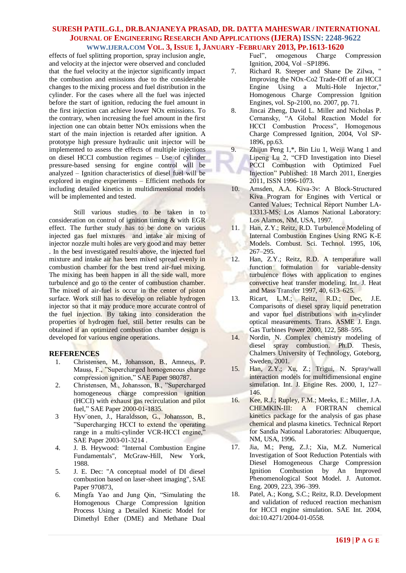effects of fuel splitting proportion, spray inclusion angle, and velocity at the injector were observed and concluded that the fuel velocity at the injector significantly impact the combustion and emissions due to the considerable changes to the mixing process and fuel distribution in the cylinder. For the cases where all the fuel was injected before the start of ignition, reducing the fuel amount in the first injection can achieve lower NOx emissions. To the contrary, when increasing the fuel amount in the first injection one can obtain better NO<sub>x</sub> emissions when the start of the main injection is retarded after ignition. A prototype high pressure hydraulic unit injector will be implemented to assess the effects of multiple injections on diesel HCCI combustion regimes – Use of cylinder pressure-based sensing for engine control will be analyzed – Ignition characteristics of diesel fuel will be explored in engine experiments – Efficient methods for including detailed kinetics in multidimensional models will be implemented and tested.

Still various studies to be taken in to consideration on control of ignition timing & with EGR effect. The further study has to be done on various injected gas fuel mixtures and intake air mixing of injector nozzle multi holes are very good and may better . In the best investigated results above, the injected fuel mixture and intake air has been mixed spread evenly in combustion chamber for the best trend air-fuel mixing. The mixing has been happen in all the side wall, more turbulence and go to the center of combustion chamber. The mixed of air-fuel is occur in the center of piston surface. Work still has to develop on reliable hydrogen injector so that it may produce more accurate control of the fuel injection. By taking into consideration the properties of hydrogen fuel, still better results can be obtained if an optimized combustion chamber design is developed for various engine operations.

### **REFERENCES**

- 1. Christensen, M., Johansson, B., Amneus, P. Mauss, F., "Supercharged homogeneous charge compression ignition," SAE Paper 980787.
- 2. Christensen, M., Johansson, B., "Supercharged homogeneous charge compression ignition (HCCI) with exhaust gas recirculation and pilot fuel," SAE Paper 2000-01-1835.
- 3 Hyv¨onen, J., Haraldsson, G., Johansson, B., "Supercharging HCCI to extend the operating range in a multi-cylinder VCR-HCCI engine," SAE Paper 2003-01-3214 .
- 4. J. B. Heywood: "Internal Combustion Engine Fundamentals", McGraw-Hill, New York, 1988.
- 5. J. E. Dec: "A conceptual model of DI diesel combustion based on laser-sheet imaging", SAE Paper 970873,
- 6. Mingfa Yao and Jung Qin, "Simulating the Homogenous Charge Compression Ignition Process Using a Detailed Kinetic Model for Dimethyl Ether (DME) and Methane Dual

Fuel", omogenous Charge Compression Ignition, 2004, Vol –SP1896.

- 7. Richard R. Steeper and Shane De Zilwa, " Improving the NOx-Co2 Trade-Off of an HCCI Engine Using a Multi-Hole Injector," Homogenous Charge Compression Ignition Engines, vol. Sp-2100, no. 2007, pp. 71.
- 8. Jincai Zheng, David L. Miller and Nicholas P. Cernansky, "A Global Reaction Model for HCCI Combustion Process", Homogenous Charge Compressed Ignition, 2004, Vol SP-1896, pp.63.
- 9. Zhijun Peng 1,\*, Bin Liu 1, Weiji Wang 1 and Lipeng Lu 2, "CFD Investigation into Diesel PCCI Combustion with Optimized Fuel Injection" Published: 18 March 2011, Energies 2011, ISSN 1996-1073.
- 10. Amsden, A.A. Kiva-3v: A Block-Structured Kiva Program for Engines with Vertical or Canted Values; Technical Report Number LA-13313-MS; Los Alamos National Laboratory: Los Alamos, NM, USA, 1997.
- 11. Han, Z.Y.; Reitz, R.D. Turbulence Modeling of Internal Combustion Engines Using RNG K-E Models. Combust. Sci. Technol. 1995, 106, 267–295.
- 12. Han, Z.Y.; Reitz, R.D. A temperature wall function formulation for variable-density turbulence flows with application to engines convective heat transfer modeling. Int. J. Heat and Mass Transfer 1997, 40, 613–625.
- 13. Ricart, L.M.; Reitz, R.D.; Dec, J.E. Comparisons of diesel spray liquid penetration and vapor fuel distributions with in-cylinder optical measurements. Trans. ASME J. Engn. Gas Turbines Power 2000, 122, 588–595.
- 14. Nordin, N. Complex chemistry modeling of diesel spray combustion. Ph.D. Thesis, Chalmers University of Technology, Goteborg, Sweden, 2001.
- 15. Han, Z.Y.; Xu, Z.; Trigui, N. Spray/wall interaction models for multidimensional engine simulation. Int. J. Engine Res. 2000, 1, 127– 146.
- 16. Kee, R.J.; Rupley, F.M.; Meeks, E.; Miller, J.A. CHEMKIN-III: A FORTRAN chemical kinetics package for the analysis of gas phase chemical and plasma kinetics. Technical Report for Sandia National Laboratories: Albuquerque, NM, USA, 1996.
- 17. Jia, M.; Peng, Z.J.; Xia, M.Z. Numerical Investigation of Soot Reduction Potentials with Diesel Homogeneous Charge Compression Ignition Combustion by An Improved Phenomenological Soot Model. J. Automot. Eng. 2009, 223, 396–399.
- 18. Patel, A.; Kong, S.C.; Reitz, R.D. Development and validation of reduced reaction mechanism for HCCI engine simulation. SAE Int. 2004, doi:10.4271/2004-01-0558.